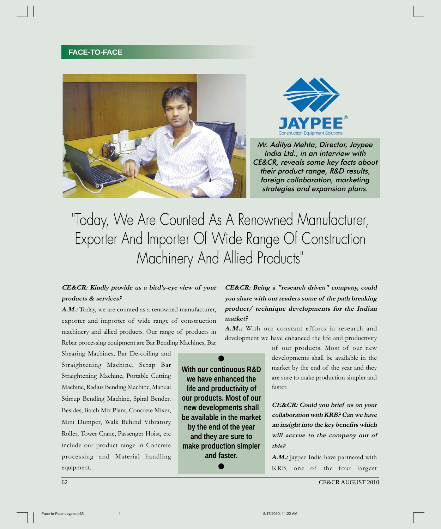## **FACE-TO-FACE**





Mr. Aditya Mehta, Director, Jaypee India Ltd., in an interview with CE&CR, reveals some key facts about their product range, R&D results, foreign collaboration, marketing strategies and expansion plans.

# "Today, We Are Counted As A Renowned Manufacturer, Exporter And Importer Of Wide Range Of Construction Machinery And Allied Products"

## **CE&CR: Kindly provide us a bird's-eye view of your products & services?**

A.M.: Today, we are counted as a renowned manufacturer, exporter and importer of wide range of construction machinery and allied products. Our range of products in Rebar processing equipment are Bar Bending Machines, Bar

Shearing Machines, Bar De-coiling and Straightening Machine, Scrap Bar Straightening Machine, Portable Cutting Machine, Radius Bending Machine, Manual Stirrup Bending Machine, Spiral Bender. Besides, Batch Mix Plant, Concrete Mixer, Mini Dumper, Walk Behind Vibratory Roller, Tower Crane, Passenger Hoist, etc include our product range in Concrete processing and Material handling equipment.

**CE&CR: Being a "research driven" company, could you share with our readers some of the path breaking product/ technique developments for the Indian market?**

**A.M.:** With our constant efforts in research and development we have enhanced the life and productivity



of our products. Most of our new developments shall be available in the market by the end of the year and they are sure to make production simpler and faster.

**CE&CR: Could you brief us on your collaboration with KRB? Can we have an insight into the key benefits which will accrue to the company out of this?**

A.M.: Jaypee India have partnered with KRB, one of the four largest

62 CE&CR AUGUST 2010